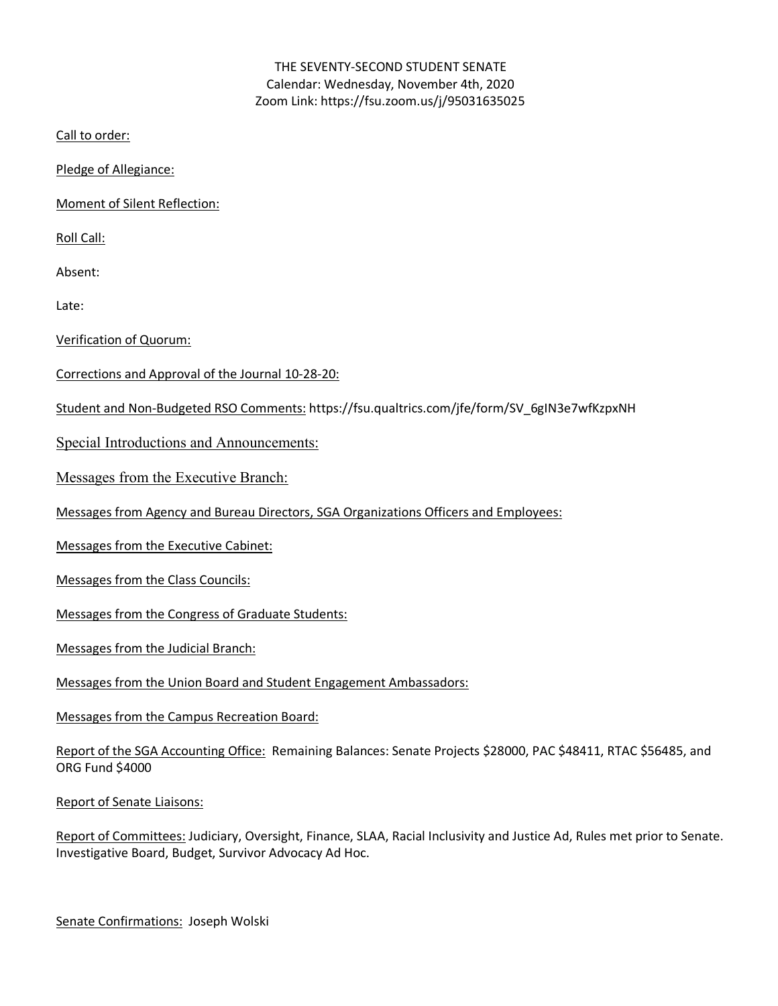# THE SEVENTY-SECOND STUDENT SENATE Calendar: Wednesday, November 4th, 2020 Zoom Link: https://fsu.zoom.us/j/95031635025

Call to order:

Pledge of Allegiance:

Moment of Silent Reflection:

Roll Call:

Absent:

Late:

Verification of Quorum:

- Corrections and Approval of the Journal 10-28-20:
- Student and Non-Budgeted RSO Comments: https://fsu.qualtrics.com/jfe/form/SV\_6gIN3e7wfKzpxNH

Special Introductions and Announcements:

Messages from the Executive Branch:

Messages from Agency and Bureau Directors, SGA Organizations Officers and Employees:

Messages from the Executive Cabinet:

Messages from the Class Councils:

Messages from the Congress of Graduate Students:

Messages from the Judicial Branch:

Messages from the Union Board and Student Engagement Ambassadors:

Messages from the Campus Recreation Board:

Report of the SGA Accounting Office: Remaining Balances: Senate Projects \$28000, PAC \$48411, RTAC \$56485, and ORG Fund \$4000

Report of Senate Liaisons:

Report of Committees: Judiciary, Oversight, Finance, SLAA, Racial Inclusivity and Justice Ad, Rules met prior to Senate. Investigative Board, Budget, Survivor Advocacy Ad Hoc.

Senate Confirmations: Joseph Wolski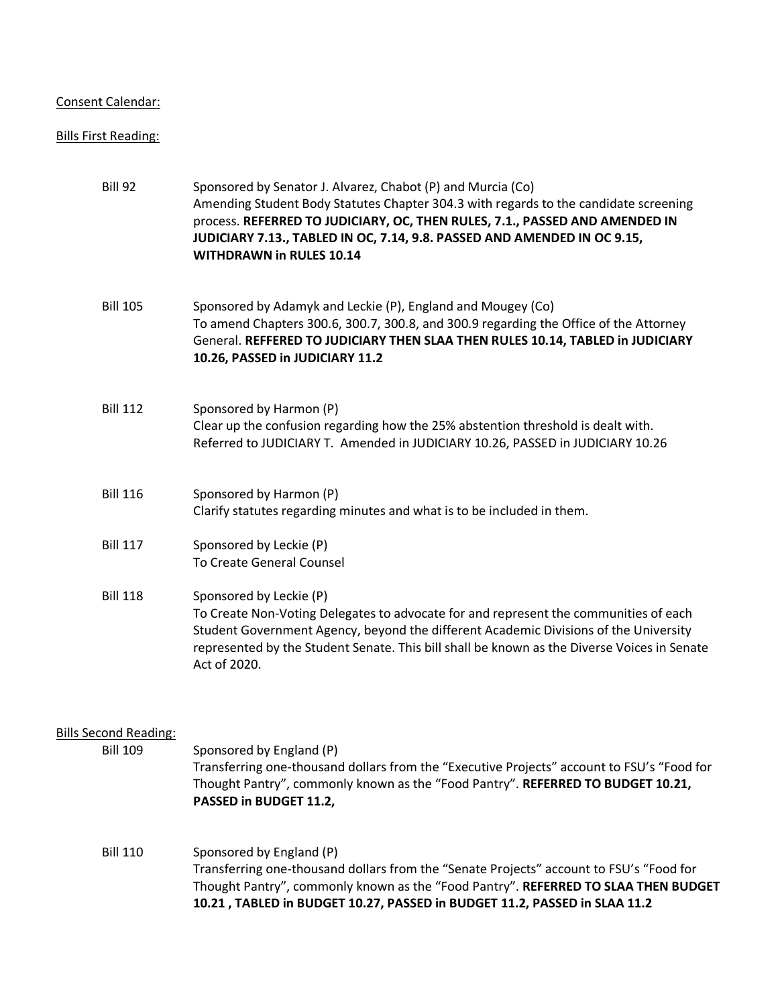## Consent Calendar:

#### Bills First Reading:

| <b>Bill 92</b>  | Sponsored by Senator J. Alvarez, Chabot (P) and Murcia (Co)<br>Amending Student Body Statutes Chapter 304.3 with regards to the candidate screening<br>process. REFERRED TO JUDICIARY, OC, THEN RULES, 7.1., PASSED AND AMENDED IN<br>JUDICIARY 7.13., TABLED IN OC, 7.14, 9.8. PASSED AND AMENDED IN OC 9.15,<br><b>WITHDRAWN in RULES 10.14</b> |
|-----------------|---------------------------------------------------------------------------------------------------------------------------------------------------------------------------------------------------------------------------------------------------------------------------------------------------------------------------------------------------|
| <b>Bill 105</b> | Sponsored by Adamyk and Leckie (P), England and Mougey (Co)<br>To amend Chapters 300.6, 300.7, 300.8, and 300.9 regarding the Office of the Attorney<br>General. REFFERED TO JUDICIARY THEN SLAA THEN RULES 10.14, TABLED in JUDICIARY<br>10.26, PASSED in JUDICIARY 11.2                                                                         |
| <b>Bill 112</b> | Sponsored by Harmon (P)<br>Clear up the confusion regarding how the 25% abstention threshold is dealt with.<br>Referred to JUDICIARY T. Amended in JUDICIARY 10.26, PASSED in JUDICIARY 10.26                                                                                                                                                     |
| <b>Bill 116</b> | Sponsored by Harmon (P)<br>Clarify statutes regarding minutes and what is to be included in them.                                                                                                                                                                                                                                                 |
| <b>Bill 117</b> | Sponsored by Leckie (P)<br><b>To Create General Counsel</b>                                                                                                                                                                                                                                                                                       |
| <b>Bill 118</b> | Sponsored by Leckie (P)<br>To Create Non-Voting Delegates to advocate for and represent the communities of each<br>Student Government Agency, beyond the different Academic Divisions of the University<br>represented by the Student Senate. This bill shall be known as the Diverse Voices in Senate<br>Act of 2020.                            |

# Bills Second Reading:

| <b>Bill 109</b> | Sponsored by England (P)                                                                   |
|-----------------|--------------------------------------------------------------------------------------------|
|                 | Transferring one-thousand dollars from the "Executive Projects" account to FSU's "Food for |
|                 | Thought Pantry", commonly known as the "Food Pantry". REFERRED TO BUDGET 10.21,            |
|                 | <b>PASSED in BUDGET 11.2,</b>                                                              |
|                 |                                                                                            |

# Bill 110 Sponsored by England (P) Transferring one-thousand dollars from the "Senate Projects" account to FSU's "Food for Thought Pantry", commonly known as the "Food Pantry". **REFERRED TO SLAA THEN BUDGET 10.21 , TABLED in BUDGET 10.27, PASSED in BUDGET 11.2, PASSED in SLAA 11.2**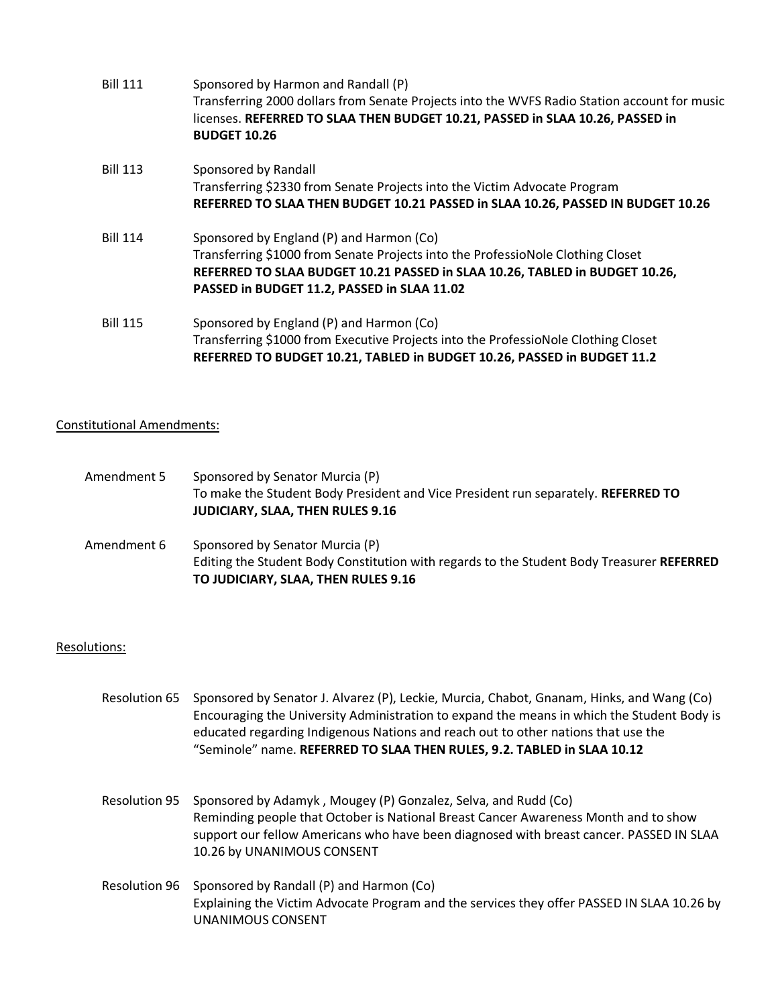| <b>Bill 111</b> | Sponsored by Harmon and Randall (P)<br>Transferring 2000 dollars from Senate Projects into the WVFS Radio Station account for music<br>licenses. REFERRED TO SLAA THEN BUDGET 10.21, PASSED in SLAA 10.26, PASSED in<br><b>BUDGET 10.26</b>               |
|-----------------|-----------------------------------------------------------------------------------------------------------------------------------------------------------------------------------------------------------------------------------------------------------|
| <b>Bill 113</b> | Sponsored by Randall<br>Transferring \$2330 from Senate Projects into the Victim Advocate Program<br>REFERRED TO SLAA THEN BUDGET 10.21 PASSED in SLAA 10.26, PASSED IN BUDGET 10.26                                                                      |
| <b>Bill 114</b> | Sponsored by England (P) and Harmon (Co)<br>Transferring \$1000 from Senate Projects into the ProfessioNole Clothing Closet<br>REFERRED TO SLAA BUDGET 10.21 PASSED in SLAA 10.26, TABLED in BUDGET 10.26,<br>PASSED in BUDGET 11.2, PASSED in SLAA 11.02 |
| <b>Bill 115</b> | Sponsored by England (P) and Harmon (Co)<br>Transferring \$1000 from Executive Projects into the ProfessioNole Clothing Closet<br>REFERRED TO BUDGET 10.21, TABLED in BUDGET 10.26, PASSED in BUDGET 11.2                                                 |

## Constitutional Amendments:

| Amendment 5 | Sponsored by Senator Murcia (P)<br>To make the Student Body President and Vice President run separately. REFERRED TO<br><b>JUDICIARY, SLAA, THEN RULES 9.16</b>     |
|-------------|---------------------------------------------------------------------------------------------------------------------------------------------------------------------|
| Amendment 6 | Sponsored by Senator Murcia (P)<br>Editing the Student Body Constitution with regards to the Student Body Treasurer REFERRED<br>TO JUDICIARY, SLAA, THEN RULES 9.16 |

## Resolutions:

- Resolution 65 Sponsored by Senator J. Alvarez (P), Leckie, Murcia, Chabot, Gnanam, Hinks, and Wang (Co) Encouraging the University Administration to expand the means in which the Student Body is educated regarding Indigenous Nations and reach out to other nations that use the "Seminole" name. **REFERRED TO SLAA THEN RULES, 9.2. TABLED in SLAA 10.12**
- Resolution 95 Sponsored by Adamyk , Mougey (P) Gonzalez, Selva, and Rudd (Co) Reminding people that October is National Breast Cancer Awareness Month and to show support our fellow Americans who have been diagnosed with breast cancer. PASSED IN SLAA 10.26 by UNANIMOUS CONSENT
- Resolution 96 Sponsored by Randall (P) and Harmon (Co) Explaining the Victim Advocate Program and the services they offer PASSED IN SLAA 10.26 by UNANIMOUS CONSENT